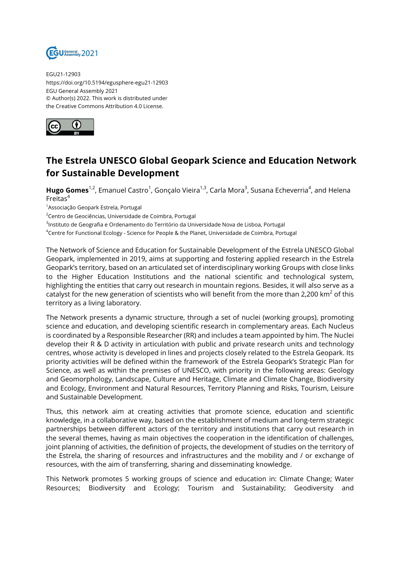

EGU21-12903 https://doi.org/10.5194/egusphere-egu21-12903 EGU General Assembly 2021 © Author(s) 2022. This work is distributed under the Creative Commons Attribution 4.0 License.



## **The Estrela UNESCO Global Geopark Science and Education Network for Sustainable Development**

**Hugo Gomes**<sup>1,2</sup>, Emanuel Castro<sup>1</sup>, Gonçalo Vieira<sup>1,3</sup>, Carla Mora<sup>3</sup>, Susana Echeverria<sup>4</sup>, and Helena Freitas<sup>4</sup>

<sup>1</sup>Associação Geopark Estrela, Portugal

<sup>2</sup>Centro de Geociências, Universidade de Coimbra, Portugal

<sup>3</sup>lnstituto de Geografia e Ordenamento do Território da Universidade Nova de Lisboa, Portugal

<sup>4</sup>Centre for Functional Ecology - Science for People & the Planet, Universidade de Coimbra, Portugal

The Network of Science and Education for Sustainable Development of the Estrela UNESCO Global Geopark, implemented in 2019, aims at supporting and fostering applied research in the Estrela Geopark's territory, based on an articulated set of interdisciplinary working Groups with close links to the Higher Education Institutions and the national scientific and technological system, highlighting the entities that carry out research in mountain regions. Besides, it will also serve as a catalyst for the new generation of scientists who will benefit from the more than 2,200 km $^2$  of this territory as a living laboratory.

The Network presents a dynamic structure, through a set of nuclei (working groups), promoting science and education, and developing scientific research in complementary areas. Each Nucleus is coordinated by a Responsible Researcher (RR) and includes a team appointed by him. The Nuclei develop their R & D activity in articulation with public and private research units and technology centres, whose activity is developed in lines and projects closely related to the Estrela Geopark. Its priority activities will be defined within the framework of the Estrela Geopark's Strategic Plan for Science, as well as within the premises of UNESCO, with priority in the following areas: Geology and Geomorphology, Landscape, Culture and Heritage, Climate and Climate Change, Biodiversity and Ecology, Environment and Natural Resources, Territory Planning and Risks, Tourism, Leisure and Sustainable Development.

Thus, this network aim at creating activities that promote science, education and scientific knowledge, in a collaborative way, based on the establishment of medium and long-term strategic partnerships between different actors of the territory and institutions that carry out research in the several themes, having as main objectives the cooperation in the identification of challenges, joint planning of activities, the definition of projects, the development of studies on the territory of the Estrela, the sharing of resources and infrastructures and the mobility and / or exchange of resources, with the aim of transferring, sharing and disseminating knowledge.

This Network promotes 5 working groups of science and education in: Climate Change; Water Resources; Biodiversity and Ecology; Tourism and Sustainability; Geodiversity and